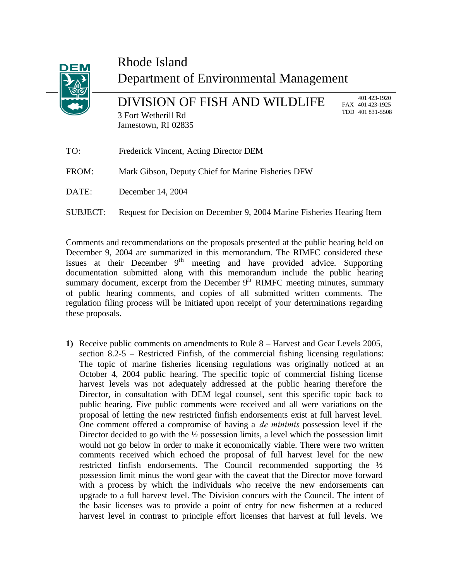

SUBJECT: Request for Decision on December 9, 2004 Marine Fisheries Hearing Item

Comments and recommendations on the proposals presented at the public hearing held on December 9, 2004 are summarized in this memorandum. The RIMFC considered these issues at their December 9<sup>th</sup> meeting and have provided advice. Supporting documentation submitted along with this memorandum include the public hearing summary document, excerpt from the December  $9<sup>th</sup>$  RIMFC meeting minutes, summary of public hearing comments, and copies of all submitted written comments. The regulation filing process will be initiated upon receipt of your determinations regarding these proposals.

**1)** Receive public comments on amendments to Rule 8 – Harvest and Gear Levels 2005, section 8.2-5 – Restricted Finfish, of the commercial fishing licensing regulations: The topic of marine fisheries licensing regulations was originally noticed at an October 4, 2004 public hearing. The specific topic of commercial fishing license harvest levels was not adequately addressed at the public hearing therefore the Director, in consultation with DEM legal counsel, sent this specific topic back to public hearing. Five public comments were received and all were variations on the proposal of letting the new restricted finfish endorsements exist at full harvest level. One comment offered a compromise of having a *de minimis* possession level if the Director decided to go with the  $\frac{1}{2}$  possession limits, a level which the possession limit would not go below in order to make it economically viable. There were two written comments received which echoed the proposal of full harvest level for the new restricted finfish endorsements. The Council recommended supporting the  $\frac{1}{2}$ possession limit minus the word gear with the caveat that the Director move forward with a process by which the individuals who receive the new endorsements can upgrade to a full harvest level. The Division concurs with the Council. The intent of the basic licenses was to provide a point of entry for new fishermen at a reduced harvest level in contrast to principle effort licenses that harvest at full levels. We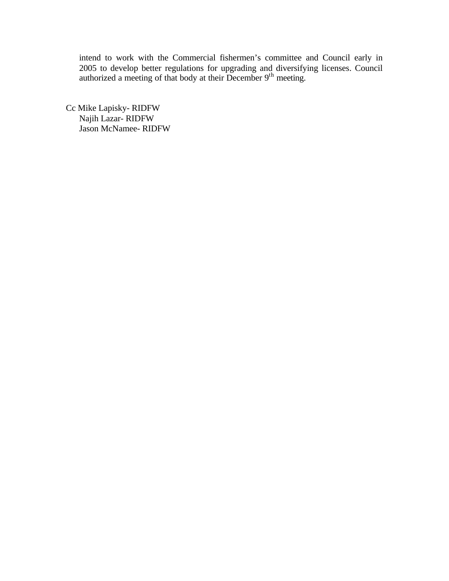intend to work with the Commercial fishermen's committee and Council early in 2005 to develop better regulations for upgrading and diversifying licenses. Council authorized a meeting of that body at their December 9<sup>th</sup> meeting.

Cc Mike Lapisky- RIDFW Najih Lazar- RIDFW Jason McNamee- RIDFW